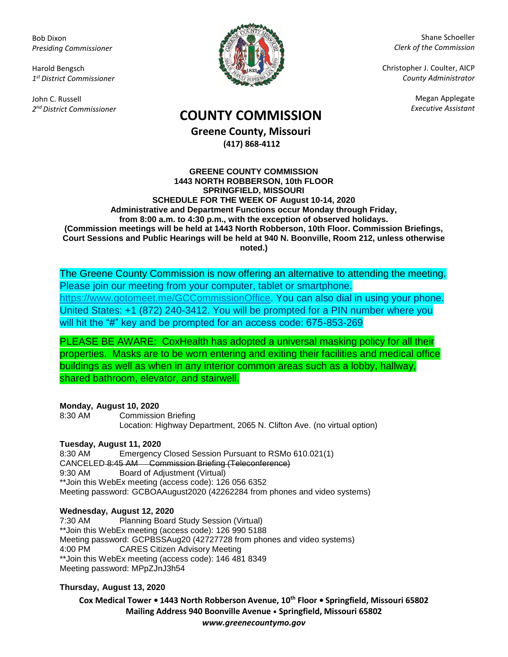Bob Dixon *Presiding Commissioner*

Harold Bengsch *1 st District Commissioner*

John C. Russell *2 nd District Commissioner*



Shane Schoeller *Clerk of the Commission*

Christopher J. Coulter, AICP *County Administrator*

Megan Applegate

# *Executive Assistant* **COUNTY COMMISSION**

**Greene County, Missouri (417) 868-4112**

#### **GREENE COUNTY COMMISSION 1443 NORTH ROBBERSON, 10th FLOOR SPRINGFIELD, MISSOURI SCHEDULE FOR THE WEEK OF August 10-14, 2020 Administrative and Department Functions occur Monday through Friday, from 8:00 a.m. to 4:30 p.m., with the exception of observed holidays. (Commission meetings will be held at 1443 North Robberson, 10th Floor. Commission Briefings, Court Sessions and Public Hearings will be held at 940 N. Boonville, Room 212, unless otherwise noted.)**

The Greene County Commission is now offering an alternative to attending the meeting. Please join our meeting from your computer, tablet or smartphone. [https://www.gotomeet.me/GCCommissionOffice.](https://www.gotomeet.me/GCCommissionOffice) You can also dial in using your phone. United States: +1 (872) 240-3412. You will be prompted for a PIN number where you will hit the "#" key and be prompted for an access code: 675-853-269

PLEASE BE AWARE: CoxHealth has adopted a universal masking policy for all their properties. Masks are to be worn entering and exiting their facilities and medical office buildings as well as when in any interior common areas such as a lobby, hallway, shared bathroom, elevator, and stairwell.

## **Monday, August 10, 2020**

8:30 AM Commission Briefing Location: Highway Department, 2065 N. Clifton Ave. (no virtual option)

## **Tuesday, August 11, 2020**

8:30 AM Emergency Closed Session Pursuant to RSMo 610.021(1) CANCELED 8:45 AM Commission Briefing (Teleconference) 9:30 AM Board of Adjustment (Virtual) \*\*Join this WebEx meeting (access code): 126 056 6352 Meeting password: GCBOAAugust2020 (42262284 from phones and video systems)

## **Wednesday, August 12, 2020**

7:30 AM Planning Board Study Session (Virtual) \*\*Join this WebEx meeting (access code): 126 990 5188 Meeting password: GCPBSSAug20 (42727728 from phones and video systems) 4:00 PM CARES Citizen Advisory Meeting \*\*Join this WebEx meeting (access code): 146 481 8349 Meeting password: MPpZJnJ3h54

## **Thursday, August 13, 2020**

**Cox Medical Tower • 1443 North Robberson Avenue, 10th Floor • Springfield, Missouri 65802 Mailing Address 940 Boonville Avenue • Springfield, Missouri 65802** *www.greenecountymo.gov*